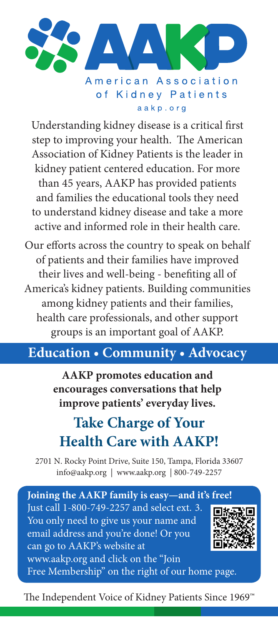

aakp.org

Understanding kidney disease is a critical first step to improving your health. The American Association of Kidney Patients is the leader in kidney patient centered education. For more than 45 years, AAKP has provided patients and families the educational tools they need to understand kidney disease and take a more active and informed role in their health care.

Our efforts across the country to speak on behalf of patients and their families have improved their lives and well-being - benefiting all of America's kidney patients. Building communities among kidney patients and their families, health care professionals, and other support groups is an important goal of AAKP.

## **Education • Community • Advocacy**

**AAKP promotes education and encourages conversations that help improve patients' everyday lives.** 

## **Take Charge of Your Health Care with AAKP!**

2701 N. Rocky Point Drive, Suite 150, Tampa, Florida 33607 info@aakp.org | www.aakp.org | 800-749-2257

**Joining the AAKP family is easy—and it's free!**  Just call 1-800-749-2257 and select ext. 3. You only need to give us your name and email address and you're done! Or you can go to AAKP's website at www.aakp.org and click on the "Join Free Membership" on the right of our home page.

The Independent Voice of Kidney Patients Since 1969™